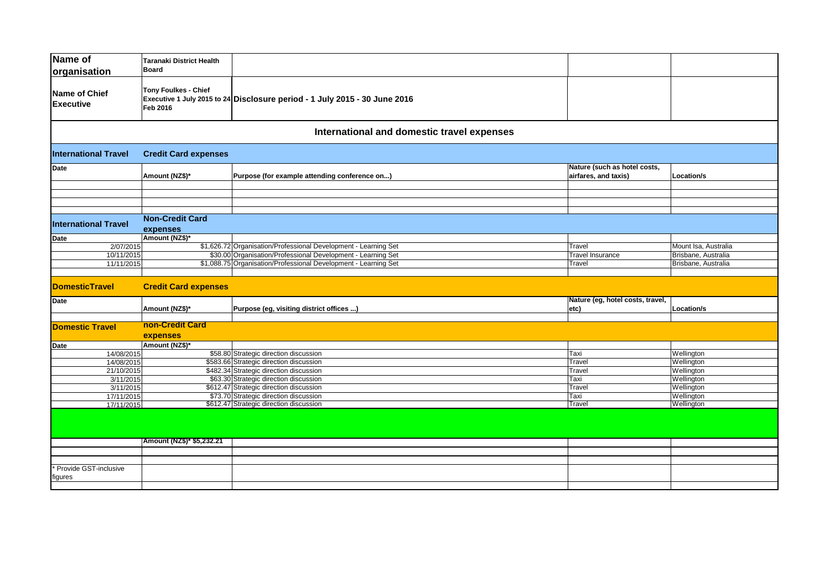| Name of<br>organisation          | <b>Taranaki District Health</b><br><b>Board</b> |                                                                            |                                                      |                      |  |  |  |
|----------------------------------|-------------------------------------------------|----------------------------------------------------------------------------|------------------------------------------------------|----------------------|--|--|--|
| Name of Chief<br>Executive       | <b>Tony Foulkes - Chief</b><br>Feb 2016         | Executive 1 July 2015 to 24 Disclosure period - 1 July 2015 - 30 June 2016 |                                                      |                      |  |  |  |
|                                  |                                                 | International and domestic travel expenses                                 |                                                      |                      |  |  |  |
| <b>International Travel</b>      | <b>Credit Card expenses</b>                     |                                                                            |                                                      |                      |  |  |  |
| <b>Date</b>                      | Amount (NZ\$)*                                  | Purpose (for example attending conference on)                              | Nature (such as hotel costs,<br>airfares, and taxis) | Location/s           |  |  |  |
|                                  |                                                 |                                                                            |                                                      |                      |  |  |  |
|                                  |                                                 |                                                                            |                                                      |                      |  |  |  |
|                                  |                                                 |                                                                            |                                                      |                      |  |  |  |
|                                  |                                                 |                                                                            |                                                      |                      |  |  |  |
| <b>International Travel</b>      | <b>Non-Credit Card</b><br>expenses              |                                                                            |                                                      |                      |  |  |  |
| <b>Date</b>                      | Amount (NZ\$)*                                  |                                                                            |                                                      |                      |  |  |  |
| 2/07/2015                        |                                                 | \$1,626.72 Organisation/Professional Development - Learning Set            | Travel                                               | Mount Isa, Australia |  |  |  |
| 10/11/2015                       |                                                 | \$30.00 Organisation/Professional Development - Learning Set               | <b>Travel Insurance</b>                              | Brisbane, Australia  |  |  |  |
| 11/11/2015                       |                                                 | \$1,088.75 Organisation/Professional Development - Learning Set            | Travel                                               | Brisbane, Australia  |  |  |  |
|                                  |                                                 |                                                                            |                                                      |                      |  |  |  |
| <b>DomesticTravel</b>            | <b>Credit Card expenses</b>                     |                                                                            |                                                      |                      |  |  |  |
| Date                             |                                                 |                                                                            | Nature (eg, hotel costs, travel,                     |                      |  |  |  |
|                                  | Amount (NZ\$)*                                  | Purpose (eg, visiting district offices )                                   | etc)                                                 | Location/s           |  |  |  |
|                                  |                                                 |                                                                            |                                                      |                      |  |  |  |
| <b>Domestic Travel</b>           | non-Credit Card                                 |                                                                            |                                                      |                      |  |  |  |
|                                  | expenses                                        |                                                                            |                                                      |                      |  |  |  |
| Date                             | Amount (NZ\$)*                                  |                                                                            |                                                      |                      |  |  |  |
| 14/08/2015                       |                                                 | \$58.80 Strategic direction discussion                                     | Taxi                                                 | Wellington           |  |  |  |
| 14/08/2015                       |                                                 | \$583.66 Strategic direction discussion                                    | Travel                                               | Wellington           |  |  |  |
| 21/10/2015                       |                                                 | \$482.34 Strategic direction discussion                                    | Travel                                               | Wellington           |  |  |  |
| 3/11/2015                        |                                                 | \$63.30 Strategic direction discussion                                     | Taxi                                                 | Wellington           |  |  |  |
| 3/11/2015                        |                                                 | \$612.47 Strategic direction discussion                                    | Travel                                               | Wellington           |  |  |  |
| 17/11/2015                       |                                                 | \$73.70 Strategic direction discussion                                     | Taxi                                                 | Wellington           |  |  |  |
| 17/11/2015                       |                                                 | \$612.47 Strategic direction discussion                                    | Travel                                               | Wellington           |  |  |  |
|                                  |                                                 |                                                                            |                                                      |                      |  |  |  |
|                                  | Amount (NZ\$)* \$5,232.21                       |                                                                            |                                                      |                      |  |  |  |
|                                  |                                                 |                                                                            |                                                      |                      |  |  |  |
|                                  |                                                 |                                                                            |                                                      |                      |  |  |  |
| Provide GST-inclusive<br>figures |                                                 |                                                                            |                                                      |                      |  |  |  |
|                                  |                                                 |                                                                            |                                                      |                      |  |  |  |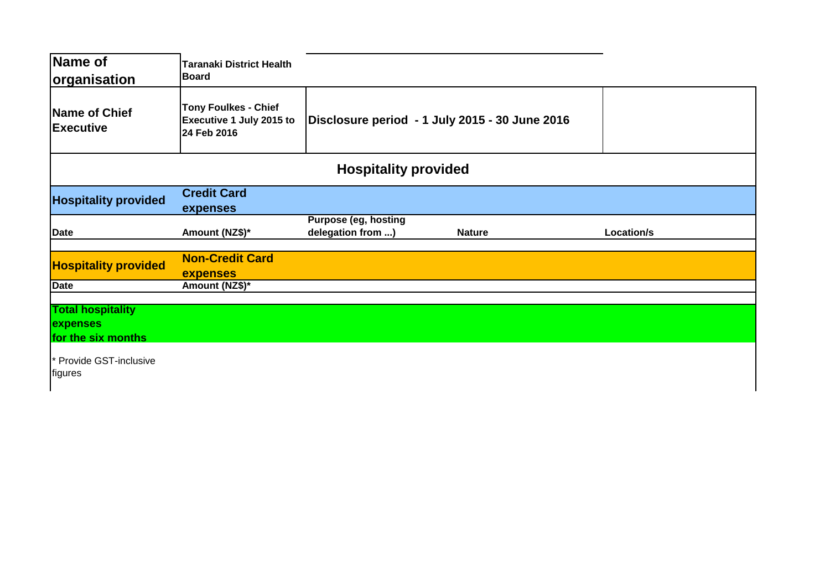| <b>Name of</b>                                             | <b>Taranaki District Health</b>                                               |                                                  |               |            |  |  |  |
|------------------------------------------------------------|-------------------------------------------------------------------------------|--------------------------------------------------|---------------|------------|--|--|--|
| organisation                                               | <b>Board</b>                                                                  |                                                  |               |            |  |  |  |
| <b>Name of Chief</b><br><b>Executive</b>                   | <b>Tony Foulkes - Chief</b><br><b>Executive 1 July 2015 to</b><br>24 Feb 2016 | Disclosure period - 1 July 2015 - 30 June 2016   |               |            |  |  |  |
| <b>Hospitality provided</b>                                |                                                                               |                                                  |               |            |  |  |  |
| <b>Hospitality provided</b>                                | <b>Credit Card</b><br>expenses                                                |                                                  |               |            |  |  |  |
| <b>Date</b>                                                | Amount (NZ\$)*                                                                | <b>Purpose (eg, hosting</b><br>delegation from ) | <b>Nature</b> | Location/s |  |  |  |
| <b>Hospitality provided</b>                                | <b>Non-Credit Card</b><br><b>expenses</b>                                     |                                                  |               |            |  |  |  |
| <b>Date</b>                                                | Amount (NZ\$)*                                                                |                                                  |               |            |  |  |  |
| <b>Total hospitality</b><br>expenses<br>for the six months |                                                                               |                                                  |               |            |  |  |  |
| * Provide GST-inclusive<br>figures                         |                                                                               |                                                  |               |            |  |  |  |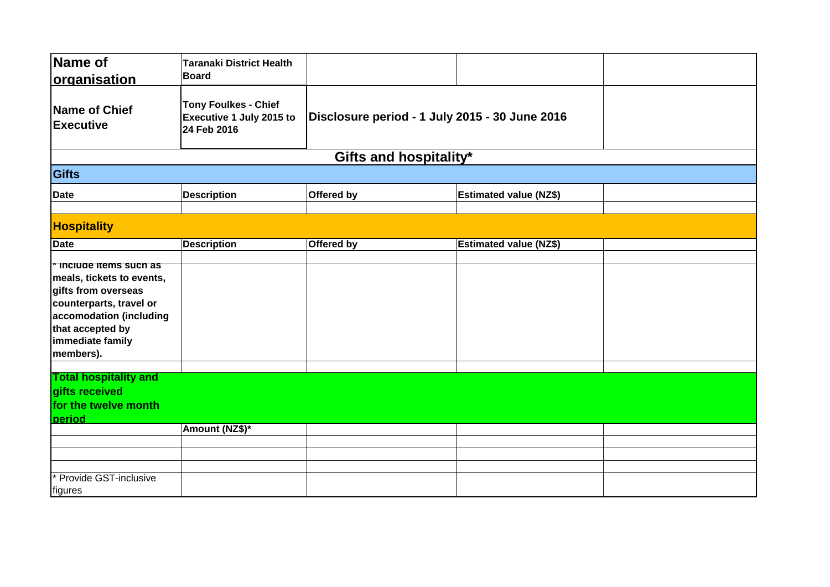| Name of<br><b>organisation</b>                                                                                                                                                       | <b>Taranaki District Health</b><br><b>Board</b>                        |                                                |                               |  |
|--------------------------------------------------------------------------------------------------------------------------------------------------------------------------------------|------------------------------------------------------------------------|------------------------------------------------|-------------------------------|--|
| Name of Chief<br><b>Executive</b>                                                                                                                                                    | <b>Tony Foulkes - Chief</b><br>Executive 1 July 2015 to<br>24 Feb 2016 | Disclosure period - 1 July 2015 - 30 June 2016 |                               |  |
|                                                                                                                                                                                      |                                                                        | Gifts and hospitality*                         |                               |  |
| Gifts                                                                                                                                                                                |                                                                        |                                                |                               |  |
| Date                                                                                                                                                                                 | <b>Description</b>                                                     | Offered by                                     | <b>Estimated value (NZ\$)</b> |  |
| <b>Hospitality</b>                                                                                                                                                                   |                                                                        |                                                |                               |  |
| <b>Date</b>                                                                                                                                                                          | <b>Description</b>                                                     | Offered by                                     | <b>Estimated value (NZ\$)</b> |  |
| Include items such as<br>meals, tickets to events,<br>gifts from overseas<br>counterparts, travel or<br>accomodation (including<br>that accepted by<br>immediate family<br>members). |                                                                        |                                                |                               |  |
| <b>Total hospitality and</b><br>gifts received<br>for the twelve month<br><b>period</b>                                                                                              |                                                                        |                                                |                               |  |
|                                                                                                                                                                                      | Amount (NZ\$)*                                                         |                                                |                               |  |
|                                                                                                                                                                                      |                                                                        |                                                |                               |  |
| Provide GST-inclusive<br><i><u><b>Ifigures</b></u></i>                                                                                                                               |                                                                        |                                                |                               |  |